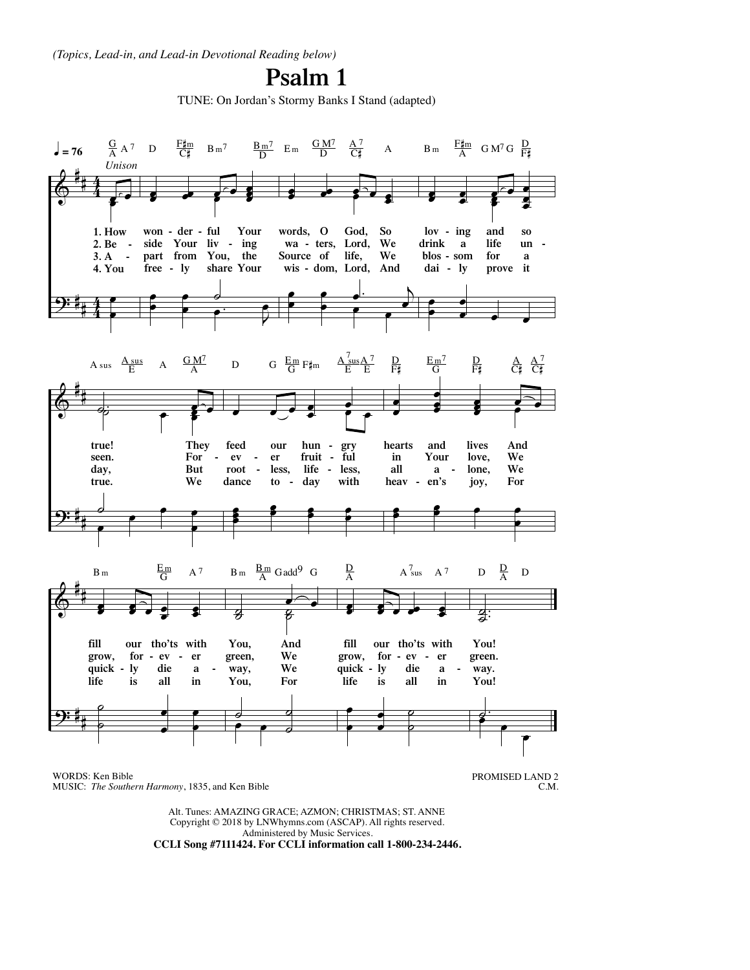*(Topics, Lead-in, and Lead-in Devotional Reading below)*

## **Psalm 1**

TUNE: On Jordan's Stormy Banks I Stand (adapted)



MUSIC: *The Southern Harmony*, 1835, and Ken Bible

PROMISED LAND 2 C.M.

Alt. Tunes: AMAZING GRACE; AZMON; CHRISTMAS; ST. ANNE Copyright © 2018 by LNWhymns.com (ASCAP). All rights reserved. Administered by Music Services. **CCLI Song #7111424. For CCLI information call 1-800-234-2446.**